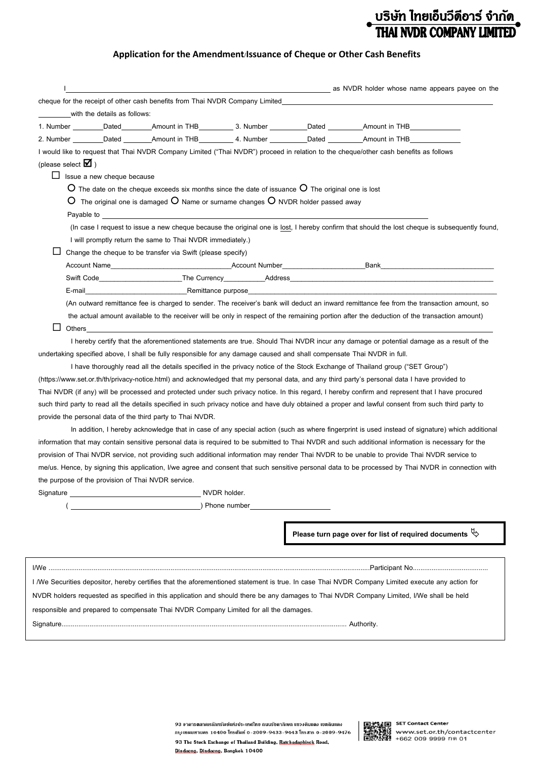## ุ บริษัท ไทยเอ็นวีดีอาร์ จำกัด<br>**์ THAI NVDR COMPANY LIMITED**

## **Application for the Amendment/Issuance of Cheque or Other Cash Benefits**

|                                                                                                                                                                                                                                    |                                                                                                                                                                                                                                |              |                                                                                                                             | as NVDR holder whose name appears payee on the                                                                                                                                                                                     |  |
|------------------------------------------------------------------------------------------------------------------------------------------------------------------------------------------------------------------------------------|--------------------------------------------------------------------------------------------------------------------------------------------------------------------------------------------------------------------------------|--------------|-----------------------------------------------------------------------------------------------------------------------------|------------------------------------------------------------------------------------------------------------------------------------------------------------------------------------------------------------------------------------|--|
|                                                                                                                                                                                                                                    |                                                                                                                                                                                                                                |              |                                                                                                                             | cheque for the receipt of other cash benefits from Thai NVDR Company Limited                                                                                                                                                       |  |
| with the details as follows:                                                                                                                                                                                                       |                                                                                                                                                                                                                                |              |                                                                                                                             |                                                                                                                                                                                                                                    |  |
|                                                                                                                                                                                                                                    |                                                                                                                                                                                                                                |              |                                                                                                                             |                                                                                                                                                                                                                                    |  |
|                                                                                                                                                                                                                                    |                                                                                                                                                                                                                                |              |                                                                                                                             | 2. Number _______Dated ________Amount in THB____________4. Number _________Dated _________Amount in THB_                                                                                                                           |  |
|                                                                                                                                                                                                                                    |                                                                                                                                                                                                                                |              |                                                                                                                             | I would like to request that Thai NVDR Company Limited ("Thai NVDR") proceed in relation to the cheque/other cash benefits as follows                                                                                              |  |
| (please select $\blacksquare$ )                                                                                                                                                                                                    |                                                                                                                                                                                                                                |              |                                                                                                                             |                                                                                                                                                                                                                                    |  |
| ப<br>Issue a new cheque because                                                                                                                                                                                                    |                                                                                                                                                                                                                                |              |                                                                                                                             |                                                                                                                                                                                                                                    |  |
|                                                                                                                                                                                                                                    |                                                                                                                                                                                                                                |              | $\overline{O}$ The date on the cheque exceeds six months since the date of issuance $\overline{O}$ The original one is lost |                                                                                                                                                                                                                                    |  |
|                                                                                                                                                                                                                                    |                                                                                                                                                                                                                                |              | $O$ The original one is damaged $O$ Name or surname changes $O$ NVDR holder passed away                                     |                                                                                                                                                                                                                                    |  |
|                                                                                                                                                                                                                                    | Payable to the contract of the contract of the contract of the contract of the contract of the contract of the contract of the contract of the contract of the contract of the contract of the contract of the contract of the |              |                                                                                                                             |                                                                                                                                                                                                                                    |  |
|                                                                                                                                                                                                                                    |                                                                                                                                                                                                                                |              |                                                                                                                             | (In case I request to issue a new cheque because the original one is lost, I hereby confirm that should the lost cheque is subsequently found,                                                                                     |  |
|                                                                                                                                                                                                                                    | I will promptly return the same to Thai NVDR immediately.)                                                                                                                                                                     |              |                                                                                                                             |                                                                                                                                                                                                                                    |  |
|                                                                                                                                                                                                                                    | Change the cheque to be transfer via Swift (please specify)                                                                                                                                                                    |              |                                                                                                                             |                                                                                                                                                                                                                                    |  |
|                                                                                                                                                                                                                                    |                                                                                                                                                                                                                                |              |                                                                                                                             |                                                                                                                                                                                                                                    |  |
|                                                                                                                                                                                                                                    |                                                                                                                                                                                                                                |              |                                                                                                                             |                                                                                                                                                                                                                                    |  |
| E-mail                                                                                                                                                                                                                             |                                                                                                                                                                                                                                |              |                                                                                                                             | <b>Solution Advisor Remittance purpose Contract Contract Contract Contract Contract Contract Contract Contract Contract Contract Contract Contract Contract Contract Contract Contract Contract Contract Contract Contract Con</b> |  |
|                                                                                                                                                                                                                                    |                                                                                                                                                                                                                                |              |                                                                                                                             | (An outward remittance fee is charged to sender. The receiver's bank will deduct an inward remittance fee from the transaction amount, so                                                                                          |  |
|                                                                                                                                                                                                                                    |                                                                                                                                                                                                                                |              |                                                                                                                             | the actual amount available to the receiver will be only in respect of the remaining portion after the deduction of the transaction amount)                                                                                        |  |
| ப<br>Others                                                                                                                                                                                                                        |                                                                                                                                                                                                                                |              |                                                                                                                             |                                                                                                                                                                                                                                    |  |
|                                                                                                                                                                                                                                    |                                                                                                                                                                                                                                |              |                                                                                                                             | I hereby certify that the aforementioned statements are true. Should Thai NVDR incur any damage or potential damage as a result of the                                                                                             |  |
| undertaking specified above, I shall be fully responsible for any damage caused and shall compensate Thai NVDR in full.                                                                                                            |                                                                                                                                                                                                                                |              |                                                                                                                             |                                                                                                                                                                                                                                    |  |
|                                                                                                                                                                                                                                    |                                                                                                                                                                                                                                |              |                                                                                                                             | I have thoroughly read all the details specified in the privacy notice of the Stock Exchange of Thailand group ("SET Group")                                                                                                       |  |
|                                                                                                                                                                                                                                    |                                                                                                                                                                                                                                |              |                                                                                                                             |                                                                                                                                                                                                                                    |  |
|                                                                                                                                                                                                                                    |                                                                                                                                                                                                                                |              |                                                                                                                             | (https://www.set.or.th/th/privacy-notice.html) and acknowledged that my personal data, and any third party's personal data I have provided to                                                                                      |  |
|                                                                                                                                                                                                                                    |                                                                                                                                                                                                                                |              |                                                                                                                             | Thai NVDR (if any) will be processed and protected under such privacy notice. In this regard, I hereby confirm and represent that I have procured                                                                                  |  |
|                                                                                                                                                                                                                                    |                                                                                                                                                                                                                                |              |                                                                                                                             | such third party to read all the details specified in such privacy notice and have duly obtained a proper and lawful consent from such third party to                                                                              |  |
| provide the personal data of the third party to Thai NVDR.                                                                                                                                                                         |                                                                                                                                                                                                                                |              |                                                                                                                             |                                                                                                                                                                                                                                    |  |
|                                                                                                                                                                                                                                    |                                                                                                                                                                                                                                |              |                                                                                                                             | In addition, I hereby acknowledge that in case of any special action (such as where fingerprint is used instead of signature) which additional                                                                                     |  |
|                                                                                                                                                                                                                                    |                                                                                                                                                                                                                                |              |                                                                                                                             | information that may contain sensitive personal data is required to be submitted to Thai NVDR and such additional information is necessary for the                                                                                 |  |
|                                                                                                                                                                                                                                    |                                                                                                                                                                                                                                |              |                                                                                                                             | provision of Thai NVDR service, not providing such additional information may render Thai NVDR to be unable to provide Thai NVDR service to                                                                                        |  |
|                                                                                                                                                                                                                                    |                                                                                                                                                                                                                                |              |                                                                                                                             | me/us. Hence, by signing this application, I/we agree and consent that such sensitive personal data to be processed by Thai NVDR in connection with                                                                                |  |
| the purpose of the provision of Thai NVDR service.                                                                                                                                                                                 |                                                                                                                                                                                                                                |              |                                                                                                                             |                                                                                                                                                                                                                                    |  |
| Signature <u>substitutions</u> and the state of the state of the state of the state of the state of the state of the state of the state of the state of the state of the state of the state of the state of the state of the state |                                                                                                                                                                                                                                | NVDR holder. |                                                                                                                             |                                                                                                                                                                                                                                    |  |
|                                                                                                                                                                                                                                    |                                                                                                                                                                                                                                |              |                                                                                                                             |                                                                                                                                                                                                                                    |  |
|                                                                                                                                                                                                                                    |                                                                                                                                                                                                                                |              |                                                                                                                             |                                                                                                                                                                                                                                    |  |
|                                                                                                                                                                                                                                    |                                                                                                                                                                                                                                |              |                                                                                                                             | Please turn page over for list of required documents $\overset{\mathbb{Q}}{\triangleright}$                                                                                                                                        |  |
|                                                                                                                                                                                                                                    |                                                                                                                                                                                                                                |              |                                                                                                                             |                                                                                                                                                                                                                                    |  |
|                                                                                                                                                                                                                                    |                                                                                                                                                                                                                                |              |                                                                                                                             |                                                                                                                                                                                                                                    |  |
|                                                                                                                                                                                                                                    |                                                                                                                                                                                                                                |              |                                                                                                                             | I /We Securities depositor, hereby certifies that the aforementioned statement is true. In case Thai NVDR Company Limited execute any action for                                                                                   |  |
|                                                                                                                                                                                                                                    |                                                                                                                                                                                                                                |              |                                                                                                                             | NVDR holders requested as specified in this application and should there be any damages to Thai NVDR Company Limited, I/We shall be held                                                                                           |  |
| responsible and prepared to compensate Thai NVDR Company Limited for all the damages.                                                                                                                                              |                                                                                                                                                                                                                                |              |                                                                                                                             |                                                                                                                                                                                                                                    |  |
|                                                                                                                                                                                                                                    |                                                                                                                                                                                                                                |              |                                                                                                                             |                                                                                                                                                                                                                                    |  |
|                                                                                                                                                                                                                                    |                                                                                                                                                                                                                                |              |                                                                                                                             |                                                                                                                                                                                                                                    |  |